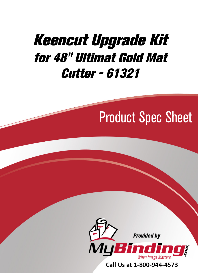## [Keencut Upgrade Kit](https://www.mybinding.com/foster-keencut-upgrade-kit-for-48-ultimat-gold-mat-cutter-61321-open-box-09152020.html)  for 48" Ultimat Gold Mat Cutter - 61321

# Product Spec Sheet



Call Us at 1-800-944-4573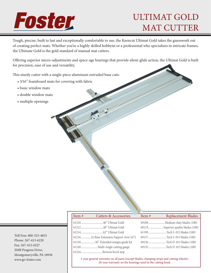# Foster

## ULTIMAT GOLD MAT CUTTER

Tough, precise, built to last and exceptionally comfortable to use, the Keencut Ultimat Gold takes the guesswork out of creating perfect mats. Whether you're a highly skilled hobbyist or a professional who specializes in intricate frames, the Ultimate Gold is the gold standard of manual mat cutters.

Offering superior micro-adjustments and space-age bearings that provide silent-glide action, the Ultimat Gold is built for precision, ease of use and versatility.

This sturdy cutter with a single-piece aluminum extruded base cuts:

- 3⁄16" foamboard mats for covering with fabric
- basic window mats
- double window mats
- multiple openings

| Toll Free: 800-523-4855   |
|---------------------------|
| Phone: 267-413-6220       |
| Fax: 267-413-6227         |
| 204B Progress Drive,      |
| Montgomeryville, PA 18936 |
| www.go-foster.com         |

| Item# | <b>Cutters &amp; Accessories</b>   | Item $#$ | <b>Replacement Blades</b>           |
|-------|------------------------------------|----------|-------------------------------------|
|       |                                    |          |                                     |
|       |                                    |          | 69119 Superior quality blades (100) |
|       |                                    |          | 61199Tech S.012 blades (100)        |
|       |                                    |          | 69137Tech S.015 blades (100)        |
|       | 6121830" Extended margin guide kit |          | 69136Tech D.012 blades (100)        |
|       |                                    |          | 69135Tech D.015 blades (100)        |
|       | 61224Reverse bevel stop            |          |                                     |
|       |                                    |          |                                     |

5-year general warranty on all parts (except blades, clamping strips and cutting wheels). 20-year warranty on the bearings used in the cutting head.